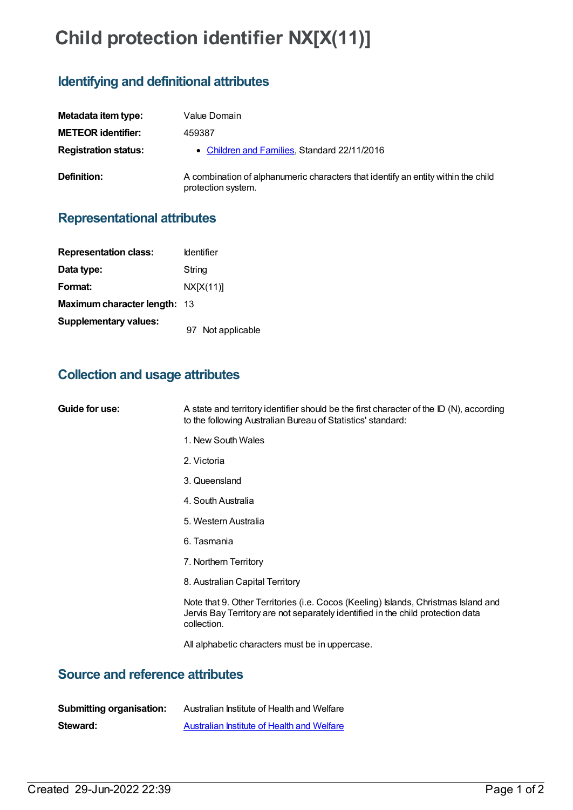# **Child protection identifier NX[X(11)]**

## **Identifying and definitional attributes**

| Metadata item type:         | Value Domain                                                                                            |
|-----------------------------|---------------------------------------------------------------------------------------------------------|
| <b>METEOR identifier:</b>   | 459387                                                                                                  |
| <b>Registration status:</b> | • Children and Families, Standard 22/11/2016                                                            |
| Definition:                 | A combination of alphanumeric characters that identify an entity within the child<br>protection system. |

#### **Representational attributes**

| <b>Representation class:</b>        | <b>Identifier</b> |
|-------------------------------------|-------------------|
| Data type:                          | String            |
| Format:                             | NX[X(11)]         |
| <b>Maximum character length: 13</b> |                   |
| <b>Supplementary values:</b>        | 97 Not applicable |

#### **Collection and usage attributes**

| Guide for use: | A state and territory identifier should be the first character of the ID (N), according<br>to the following Australian Bureau of Statistics' standard:                               |
|----------------|--------------------------------------------------------------------------------------------------------------------------------------------------------------------------------------|
|                | 1. New South Wales                                                                                                                                                                   |
|                | 2. Victoria                                                                                                                                                                          |
|                | 3. Queensland                                                                                                                                                                        |
|                | 4. South Australia                                                                                                                                                                   |
|                | 5. Western Australia                                                                                                                                                                 |
|                | 6. Tasmania                                                                                                                                                                          |
|                | 7. Northern Territory                                                                                                                                                                |
|                | 8. Australian Capital Territory                                                                                                                                                      |
|                | Note that 9. Other Territories (i.e. Cocos (Keeling) Islands, Christmas Island and<br>Jervis Bay Territory are not separately identified in the child protection data<br>collection. |
|                | All alphabetic characters must be in uppercase.                                                                                                                                      |

### **Source and reference attributes**

| <b>Submitting organisation:</b> | Australian Institute of Health and Welfare |
|---------------------------------|--------------------------------------------|
| Steward:                        | Australian Institute of Health and Welfare |